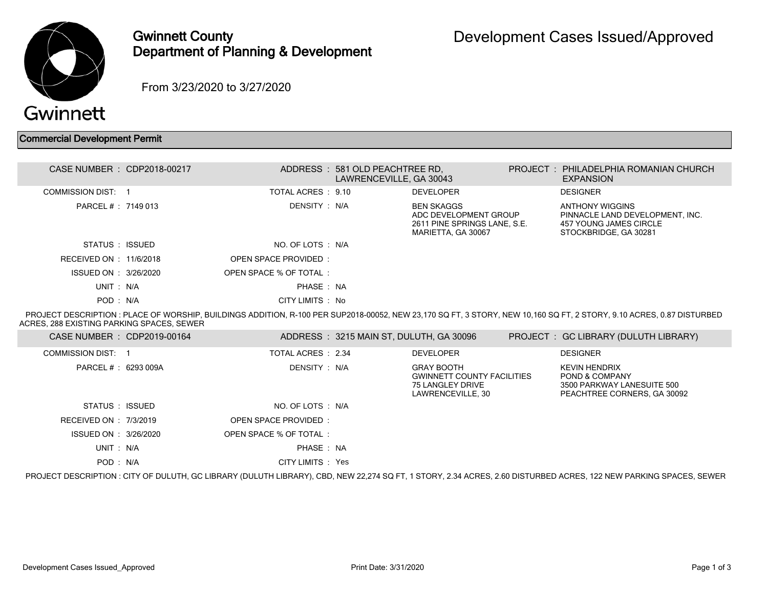

## Gwinnett County Department of Planning & Development

From 3/23/2020 to 3/27/2020

## Commercial Development Permit

|                                           | CASE NUMBER : CDP2018-00217 |                             | ADDRESS: 581 OLD PEACHTREE RD.<br>LAWRENCEVILLE, GA 30043 |                                                                                                  | PROJECT: PHILADELPHIA ROMANIAN CHURCH<br><b>EXPANSION</b>                                                                                                             |
|-------------------------------------------|-----------------------------|-----------------------------|-----------------------------------------------------------|--------------------------------------------------------------------------------------------------|-----------------------------------------------------------------------------------------------------------------------------------------------------------------------|
| <b>COMMISSION DIST: 1</b>                 |                             | TOTAL ACRES : 9.10          |                                                           | <b>DEVELOPER</b>                                                                                 | <b>DESIGNER</b>                                                                                                                                                       |
| PARCEL # : 7149 013                       |                             | DENSITY : N/A               |                                                           | <b>BEN SKAGGS</b><br>ADC DEVELOPMENT GROUP<br>2611 PINE SPRINGS LANE, S.E.<br>MARIETTA, GA 30067 | <b>ANTHONY WIGGINS</b><br>PINNACLE LAND DEVELOPMENT, INC.<br><b>457 YOUNG JAMES CIRCLE</b><br>STOCKBRIDGE, GA 30281                                                   |
| STATUS: ISSUED                            |                             | NO. OF LOTS : N/A           |                                                           |                                                                                                  |                                                                                                                                                                       |
| RECEIVED ON : 11/6/2018                   |                             | <b>OPEN SPACE PROVIDED:</b> |                                                           |                                                                                                  |                                                                                                                                                                       |
| ISSUED ON : 3/26/2020                     |                             | OPEN SPACE % OF TOTAL:      |                                                           |                                                                                                  |                                                                                                                                                                       |
| UNIT: N/A                                 |                             | PHASE: NA                   |                                                           |                                                                                                  |                                                                                                                                                                       |
| POD: N/A                                  |                             | CITY LIMITS : No            |                                                           |                                                                                                  |                                                                                                                                                                       |
| ACRES, 288 EXISTING PARKING SPACES, SEWER |                             |                             |                                                           |                                                                                                  | PROJECT DESCRIPTION : PLACE OF WORSHIP, BUILDINGS ADDITION, R-100 PER SUP2018-00052, NEW 23,170 SQ FT, 3 STORY, NEW 10,160 SQ FT, 2 STORY, 9.10 ACRES, 0.87 DISTURBED |
|                                           |                             |                             |                                                           |                                                                                                  |                                                                                                                                                                       |
| CASE NUMBER : CDP2019-00164               |                             |                             | ADDRESS: 3215 MAIN ST, DULUTH, GA 30096                   |                                                                                                  | PROJECT : GC LIBRARY (DULUTH LIBRARY)                                                                                                                                 |
| COMMISSION DIST: 1                        |                             | TOTAL ACRES : 2.34          |                                                           | <b>DEVELOPER</b>                                                                                 | <b>DESIGNER</b>                                                                                                                                                       |
| PARCEL # : 6293 009A                      |                             | DENSITY : N/A               |                                                           | <b>GRAY BOOTH</b><br><b>GWINNETT COUNTY FACILITIES</b><br>75 LANGLEY DRIVE<br>LAWRENCEVILLE, 30  | <b>KEVIN HENDRIX</b><br>POND & COMPANY<br>3500 PARKWAY LANESUITE 500<br>PEACHTREE CORNERS, GA 30092                                                                   |
| STATUS : ISSUED                           |                             | NO. OF LOTS : N/A           |                                                           |                                                                                                  |                                                                                                                                                                       |
| RECEIVED ON : 7/3/2019                    |                             | <b>OPEN SPACE PROVIDED:</b> |                                                           |                                                                                                  |                                                                                                                                                                       |
| ISSUED ON : 3/26/2020                     |                             | OPEN SPACE % OF TOTAL:      |                                                           |                                                                                                  |                                                                                                                                                                       |
| UNIT: N/A                                 |                             | PHASE : NA                  |                                                           |                                                                                                  |                                                                                                                                                                       |

PROJECT DESCRIPTION : CITY OF DULUTH, GC LIBRARY (DULUTH LIBRARY), CBD, NEW 22,274 SQ FT, 1 STORY, 2.34 ACRES, 2.60 DISTURBED ACRES, 122 NEW PARKING SPACES, SEWER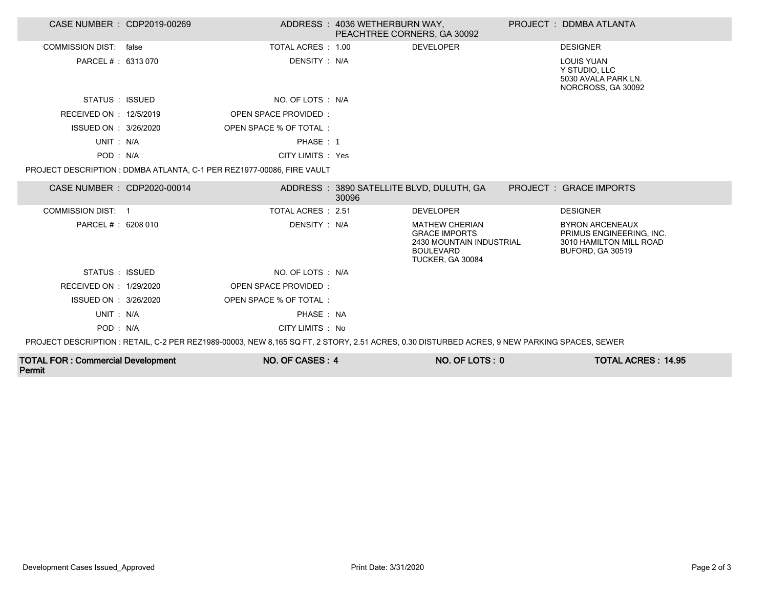| CASE NUMBER : CDP2019-00269                                                                                                                  |  |                                                                        | ADDRESS: 4036 WETHERBURN WAY,<br>PEACHTREE CORNERS, GA 30092 |                                                                                                                   |  | PROJECT: DDMBA ATLANTA                                                                            |
|----------------------------------------------------------------------------------------------------------------------------------------------|--|------------------------------------------------------------------------|--------------------------------------------------------------|-------------------------------------------------------------------------------------------------------------------|--|---------------------------------------------------------------------------------------------------|
| COMMISSION DIST: false                                                                                                                       |  | TOTAL ACRES : 1.00                                                     |                                                              | <b>DEVELOPER</b>                                                                                                  |  | <b>DESIGNER</b>                                                                                   |
| PARCEL # : 6313 070                                                                                                                          |  | DENSITY: N/A                                                           |                                                              |                                                                                                                   |  | <b>LOUIS YUAN</b><br>Y STUDIO, LLC<br>5030 AVALA PARK LN.<br>NORCROSS, GA 30092                   |
| STATUS : ISSUED                                                                                                                              |  | NO. OF LOTS : N/A                                                      |                                                              |                                                                                                                   |  |                                                                                                   |
| RECEIVED ON : 12/5/2019                                                                                                                      |  | OPEN SPACE PROVIDED:                                                   |                                                              |                                                                                                                   |  |                                                                                                   |
| ISSUED ON : 3/26/2020                                                                                                                        |  | OPEN SPACE % OF TOTAL:                                                 |                                                              |                                                                                                                   |  |                                                                                                   |
| UNIT: N/A                                                                                                                                    |  | PHASE: 1                                                               |                                                              |                                                                                                                   |  |                                                                                                   |
| POD: N/A                                                                                                                                     |  | CITY LIMITS : Yes                                                      |                                                              |                                                                                                                   |  |                                                                                                   |
|                                                                                                                                              |  | PROJECT DESCRIPTION : DDMBA ATLANTA, C-1 PER REZ1977-00086, FIRE VAULT |                                                              |                                                                                                                   |  |                                                                                                   |
| CASE NUMBER : CDP2020-00014                                                                                                                  |  |                                                                        | 30096                                                        | ADDRESS: 3890 SATELLITE BLVD, DULUTH, GA                                                                          |  | PROJECT: GRACE IMPORTS                                                                            |
| COMMISSION DIST: 1                                                                                                                           |  | TOTAL ACRES: 2.51                                                      |                                                              | <b>DEVELOPER</b>                                                                                                  |  | <b>DESIGNER</b>                                                                                   |
| PARCEL # : 6208 010                                                                                                                          |  | DENSITY : N/A                                                          |                                                              | <b>MATHEW CHERIAN</b><br><b>GRACE IMPORTS</b><br>2430 MOUNTAIN INDUSTRIAL<br><b>BOULEVARD</b><br>TUCKER, GA 30084 |  | <b>BYRON ARCENEAUX</b><br>PRIMUS ENGINEERING. INC.<br>3010 HAMILTON MILL ROAD<br>BUFORD, GA 30519 |
| STATUS : ISSUED                                                                                                                              |  | NO. OF LOTS : N/A                                                      |                                                              |                                                                                                                   |  |                                                                                                   |
| RECEIVED ON : 1/29/2020                                                                                                                      |  | OPEN SPACE PROVIDED:                                                   |                                                              |                                                                                                                   |  |                                                                                                   |
| ISSUED ON : 3/26/2020                                                                                                                        |  | OPEN SPACE % OF TOTAL:                                                 |                                                              |                                                                                                                   |  |                                                                                                   |
| UNIT: N/A                                                                                                                                    |  | PHASE: NA                                                              |                                                              |                                                                                                                   |  |                                                                                                   |
| POD: N/A                                                                                                                                     |  | CITY LIMITS : No                                                       |                                                              |                                                                                                                   |  |                                                                                                   |
| PROJECT DESCRIPTION : RETAIL, C-2 PER REZ1989-00003, NEW 8.165 SQ FT, 2 STORY, 2.51 ACRES, 0.30 DISTURBED ACRES, 9 NEW PARKING SPACES, SEWER |  |                                                                        |                                                              |                                                                                                                   |  |                                                                                                   |
| <b>TOTAL EOD</b> : Commorsial Davelopment                                                                                                    |  | $N \cap C \cap C \subset C$                                            |                                                              | $MD$ $DEIM$                                                                                                       |  | TOTAL ACDEC . 14 OF                                                                               |

| <b>TOTAL FOR: Commercial Development</b><br>Permit | NO. OF CASES: 4 | NO. OF LOTS : | <b>TOTAL ACRES: 14.95</b> |
|----------------------------------------------------|-----------------|---------------|---------------------------|
|----------------------------------------------------|-----------------|---------------|---------------------------|